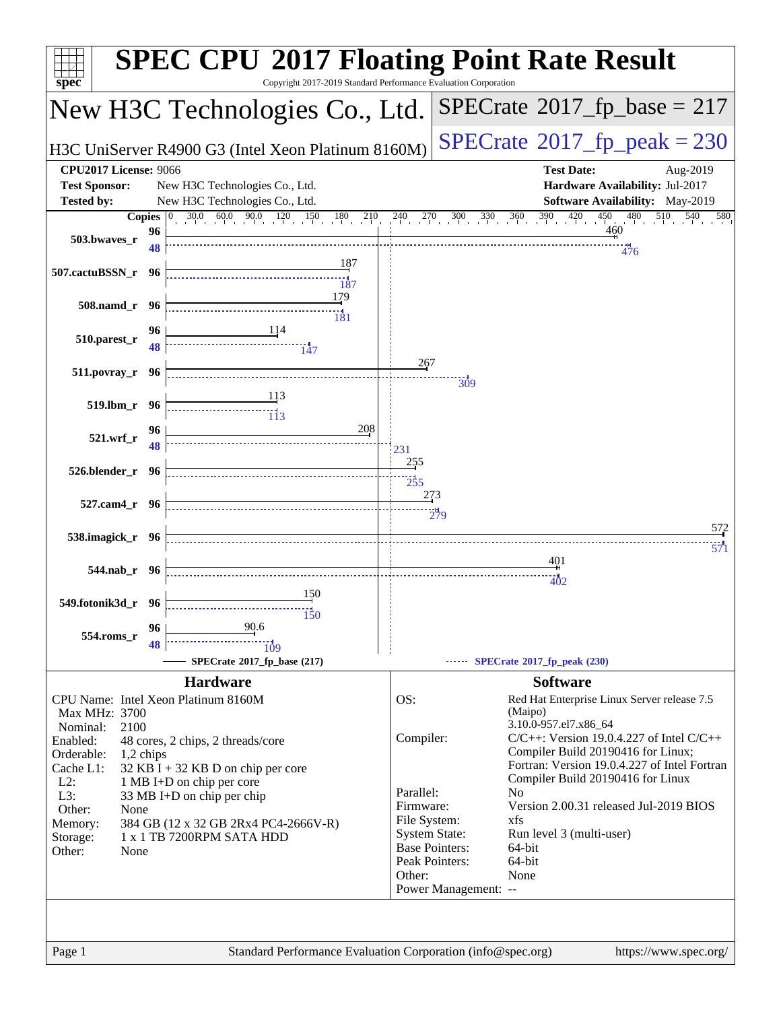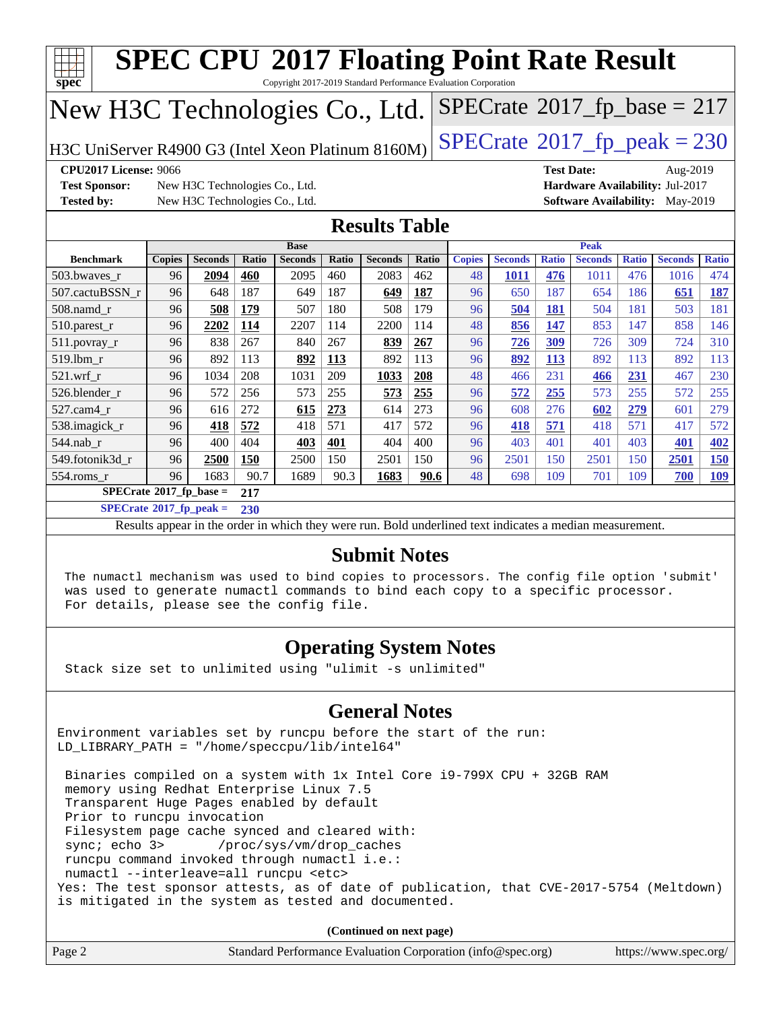| $SPECTate$ <sup>®</sup> 2017_fp_base = 217<br>New H3C Technologies Co., Ltd.                                                                                                                                                 |                                                                          |                |       |                |       |                      |            |               |                |              |                |              |                |              |
|------------------------------------------------------------------------------------------------------------------------------------------------------------------------------------------------------------------------------|--------------------------------------------------------------------------|----------------|-------|----------------|-------|----------------------|------------|---------------|----------------|--------------|----------------|--------------|----------------|--------------|
| $SPECTate@2017fr peak = 230$<br>H3C UniServer R4900 G3 (Intel Xeon Platinum 8160M)                                                                                                                                           |                                                                          |                |       |                |       |                      |            |               |                |              |                |              |                |              |
| <b>CPU2017 License: 9066</b><br><b>Test Date:</b><br>Aug-2019                                                                                                                                                                |                                                                          |                |       |                |       |                      |            |               |                |              |                |              |                |              |
| <b>Test Sponsor:</b><br>New H3C Technologies Co., Ltd.<br>Hardware Availability: Jul-2017                                                                                                                                    |                                                                          |                |       |                |       |                      |            |               |                |              |                |              |                |              |
| <b>Tested by:</b>                                                                                                                                                                                                            | New H3C Technologies Co., Ltd.<br><b>Software Availability:</b> May-2019 |                |       |                |       |                      |            |               |                |              |                |              |                |              |
|                                                                                                                                                                                                                              |                                                                          |                |       |                |       | <b>Results Table</b> |            |               |                |              |                |              |                |              |
| <b>Base</b><br><b>Peak</b>                                                                                                                                                                                                   |                                                                          |                |       |                |       |                      |            |               |                |              |                |              |                |              |
| <b>Benchmark</b>                                                                                                                                                                                                             | <b>Copies</b>                                                            | <b>Seconds</b> | Ratio | <b>Seconds</b> | Ratio | <b>Seconds</b>       | Ratio      | <b>Copies</b> | <b>Seconds</b> | <b>Ratio</b> | <b>Seconds</b> | <b>Ratio</b> | <b>Seconds</b> | <b>Ratio</b> |
| 503.bwayes r                                                                                                                                                                                                                 | 96                                                                       | 2094           | 460   | 2095           | 460   | 2083                 | 462        | 48            | 1011           | 476          | 1011           | 476          | 1016           | 474          |
| 507.cactuBSSN_r                                                                                                                                                                                                              | 96                                                                       | 648            | 187   | 649            | 187   | 649                  | <b>187</b> | 96            | 650            | 187          | 654            | 186          | 651            | <b>187</b>   |
| $508$ .namd $r$                                                                                                                                                                                                              | 96                                                                       | 508            | 179   | 507            | 180   | 508                  | 179        | 96            | 504            | <b>181</b>   | 504            | 181          | 503            | 181          |
| 510.parest_r                                                                                                                                                                                                                 | 96                                                                       | 2202           | 114   | 2207           | 114   | 2200                 | 114        | 48            | 856            | 147          | 853            | 147          | 858            | 146          |
| $511.$ povray_r                                                                                                                                                                                                              | 96                                                                       | 838            | 267   | 840            | 267   | 839                  | 267        | 96            | 726            | 309          | 726            | 309          | 724            | 310          |
| 519.lbm_r                                                                                                                                                                                                                    | 96                                                                       | 892            | 113   | 892            | 113   | 892                  | 113        | 96            | 892            | 113          | 892            | 113          | 892            | 113          |
| 521.wrf r                                                                                                                                                                                                                    | 96                                                                       | 1034           | 208   | 1031           | 209   | 1033                 | 208        | 48            | 466            | 231          | 466            | 231          | 467            | 230          |
| 526.blender r                                                                                                                                                                                                                | 96                                                                       | 572            | 256   | 573            | 255   | 573                  | 255        | 96            | 572            | 255          | 573            | 255          | 572            | 255          |
| 527.cam4 r                                                                                                                                                                                                                   | 96                                                                       | 616            | 272   | 615            | 273   | 614                  | 273        | 96            | 608            | 276          | 602            | 279          | 601            | 279          |
| 538.imagick_r                                                                                                                                                                                                                | 96                                                                       | 418            | 572   | 418            | 571   | 417                  | 572        | 96            | 418            | 571          | 418            | 571          | 417            | 572          |
| 544.nab_r                                                                                                                                                                                                                    | 96                                                                       | 400            | 404   | 403            | 401   | 404                  | 400        | 96            | 403            | 401          | 401            | 403          | 401            | 402          |
| 549.fotonik3d r                                                                                                                                                                                                              | 96                                                                       | 2500           | 150   | 2500           | 150   | 2501                 | 150        | 96            | 2501           | 150          | 2501           | 150          | 2501           | 150          |
| 554.roms r                                                                                                                                                                                                                   | 96                                                                       | 1683           | 90.7  | 1689           | 90.3  | 1683                 | 90.6       | 48            | 698            | 109          | 701            | 109          | 700            | <b>109</b>   |
| $SPECrate$ <sup>®</sup> 2017_fp_base =                                                                                                                                                                                       |                                                                          |                | 217   |                |       |                      |            |               |                |              |                |              |                |              |
| $SPECrate*2017_fp\_peak =$                                                                                                                                                                                                   |                                                                          |                | 230   |                |       |                      |            |               |                |              |                |              |                |              |
| Results appear in the order in which they were run. Bold underlined text indicates a median measurement.                                                                                                                     |                                                                          |                |       |                |       |                      |            |               |                |              |                |              |                |              |
| <b>Submit Notes</b>                                                                                                                                                                                                          |                                                                          |                |       |                |       |                      |            |               |                |              |                |              |                |              |
| The numactl mechanism was used to bind copies to processors. The config file option 'submit'<br>was used to generate numactl commands to bind each copy to a specific processor.<br>For details, please see the config file. |                                                                          |                |       |                |       |                      |            |               |                |              |                |              |                |              |

Stack size set to unlimited using "ulimit -s unlimited"

### **[General Notes](http://www.spec.org/auto/cpu2017/Docs/result-fields.html#GeneralNotes)**

Environment variables set by runcpu before the start of the run: LD\_LIBRARY\_PATH = "/home/speccpu/lib/intel64"

 Binaries compiled on a system with 1x Intel Core i9-799X CPU + 32GB RAM memory using Redhat Enterprise Linux 7.5 Transparent Huge Pages enabled by default Prior to runcpu invocation Filesystem page cache synced and cleared with: sync; echo 3> /proc/sys/vm/drop\_caches runcpu command invoked through numactl i.e.: numactl --interleave=all runcpu <etc> Yes: The test sponsor attests, as of date of publication, that CVE-2017-5754 (Meltdown) is mitigated in the system as tested and documented.

**(Continued on next page)**

|  | Page 2 | Standard Performance Evaluation Corporation (info@spec.org) | https://www.spec.org/ |
|--|--------|-------------------------------------------------------------|-----------------------|
|--|--------|-------------------------------------------------------------|-----------------------|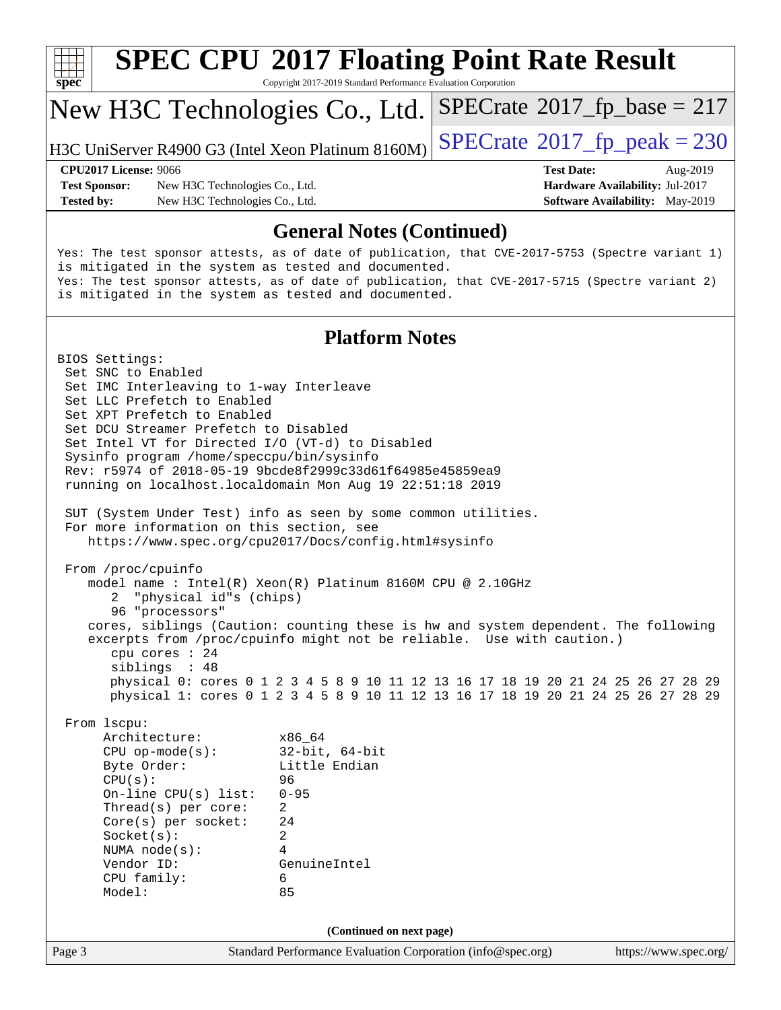

# **[SPEC CPU](http://www.spec.org/auto/cpu2017/Docs/result-fields.html#SPECCPU2017FloatingPointRateResult)[2017 Floating Point Rate Result](http://www.spec.org/auto/cpu2017/Docs/result-fields.html#SPECCPU2017FloatingPointRateResult)**

Copyright 2017-2019 Standard Performance Evaluation Corporation

### New H3C Technologies Co., Ltd.

H3C UniServer R4900 G3 (Intel Xeon Platinum  $8160M$ ) [SPECrate](http://www.spec.org/auto/cpu2017/Docs/result-fields.html#SPECrate2017fppeak)<sup>®</sup>[2017\\_fp\\_peak = 2](http://www.spec.org/auto/cpu2017/Docs/result-fields.html#SPECrate2017fppeak)30

 $SPECTate@2017_fp\_base = 217$ 

**[Test Sponsor:](http://www.spec.org/auto/cpu2017/Docs/result-fields.html#TestSponsor)** New H3C Technologies Co., Ltd. **[Hardware Availability:](http://www.spec.org/auto/cpu2017/Docs/result-fields.html#HardwareAvailability)** Jul-2017 **[Tested by:](http://www.spec.org/auto/cpu2017/Docs/result-fields.html#Testedby)** New H3C Technologies Co., Ltd. **[Software Availability:](http://www.spec.org/auto/cpu2017/Docs/result-fields.html#SoftwareAvailability)** May-2019

**[CPU2017 License:](http://www.spec.org/auto/cpu2017/Docs/result-fields.html#CPU2017License)** 9066 **[Test Date:](http://www.spec.org/auto/cpu2017/Docs/result-fields.html#TestDate)** Aug-2019

### **[General Notes \(Continued\)](http://www.spec.org/auto/cpu2017/Docs/result-fields.html#GeneralNotes)**

Yes: The test sponsor attests, as of date of publication, that CVE-2017-5753 (Spectre variant 1) is mitigated in the system as tested and documented. Yes: The test sponsor attests, as of date of publication, that CVE-2017-5715 (Spectre variant 2) is mitigated in the system as tested and documented.

### **[Platform Notes](http://www.spec.org/auto/cpu2017/Docs/result-fields.html#PlatformNotes)**

Page 3 Standard Performance Evaluation Corporation [\(info@spec.org\)](mailto:info@spec.org) <https://www.spec.org/> BIOS Settings: Set SNC to Enabled Set IMC Interleaving to 1-way Interleave Set LLC Prefetch to Enabled Set XPT Prefetch to Enabled Set DCU Streamer Prefetch to Disabled Set Intel VT for Directed I/O (VT-d) to Disabled Sysinfo program /home/speccpu/bin/sysinfo Rev: r5974 of 2018-05-19 9bcde8f2999c33d61f64985e45859ea9 running on localhost.localdomain Mon Aug 19 22:51:18 2019 SUT (System Under Test) info as seen by some common utilities. For more information on this section, see <https://www.spec.org/cpu2017/Docs/config.html#sysinfo> From /proc/cpuinfo model name : Intel(R) Xeon(R) Platinum 8160M CPU @ 2.10GHz 2 "physical id"s (chips) 96 "processors" cores, siblings (Caution: counting these is hw and system dependent. The following excerpts from /proc/cpuinfo might not be reliable. Use with caution.) cpu cores : 24 siblings : 48 physical 0: cores 0 1 2 3 4 5 8 9 10 11 12 13 16 17 18 19 20 21 24 25 26 27 28 29 physical 1: cores 0 1 2 3 4 5 8 9 10 11 12 13 16 17 18 19 20 21 24 25 26 27 28 29 From lscpu: Architecture: x86\_64 CPU op-mode(s): 32-bit, 64-bit Byte Order: Little Endian CPU(s): 96 On-line CPU(s) list: 0-95 Thread(s) per core: 2 Core(s) per socket: 24 Socket(s): 2 NUMA node(s): 4 Vendor ID: GenuineIntel CPU family: 6 Model: 85 **(Continued on next page)**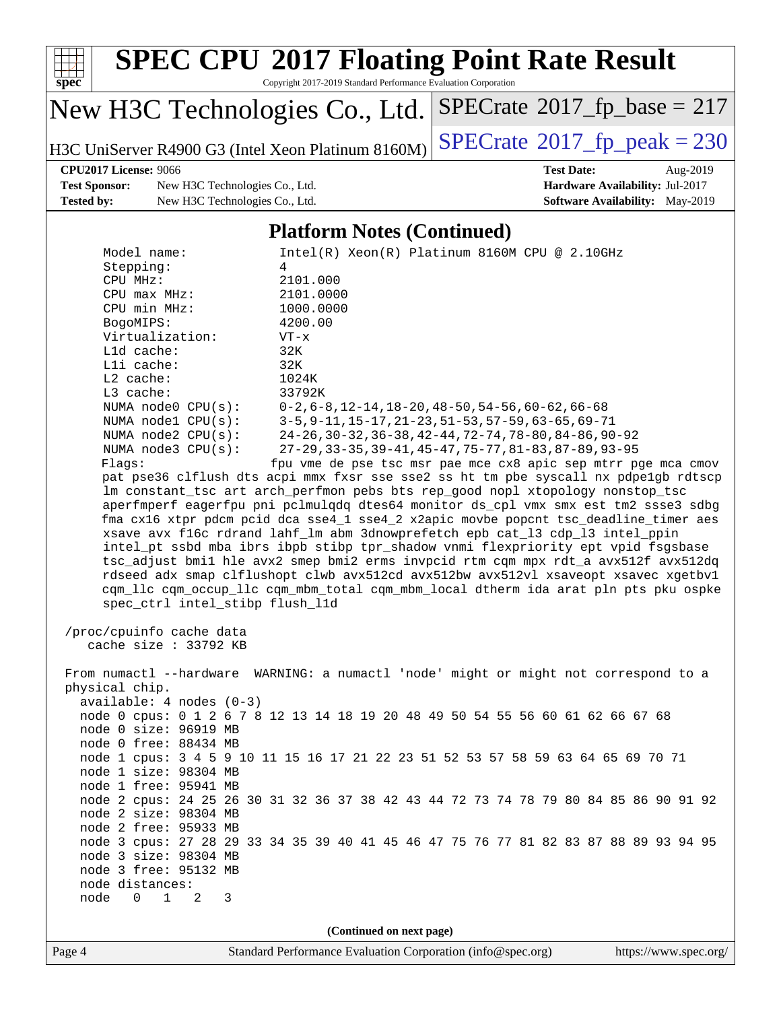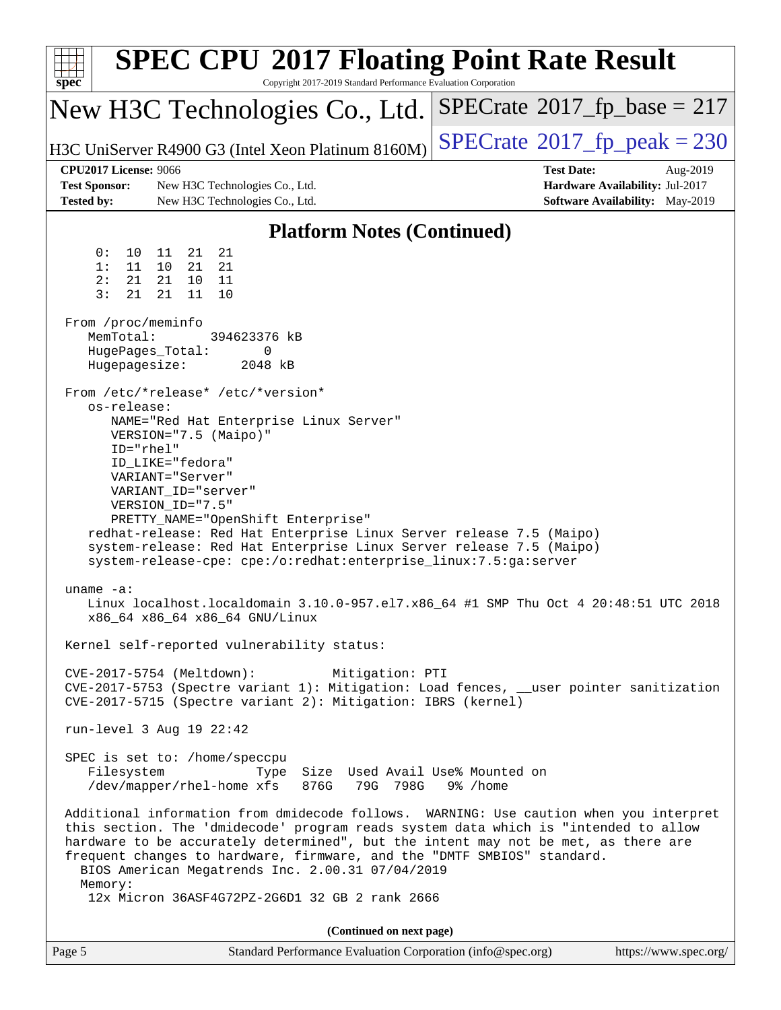| <b>SPEC CPU®2017 Floating Point Rate Result</b><br>Copyright 2017-2019 Standard Performance Evaluation Corporation<br>spec <sup>®</sup>                                                                                                                                                                                                                                                                                                                                                                                                                                                                                                                                                                                          |                                                                                                     |  |  |  |  |  |
|----------------------------------------------------------------------------------------------------------------------------------------------------------------------------------------------------------------------------------------------------------------------------------------------------------------------------------------------------------------------------------------------------------------------------------------------------------------------------------------------------------------------------------------------------------------------------------------------------------------------------------------------------------------------------------------------------------------------------------|-----------------------------------------------------------------------------------------------------|--|--|--|--|--|
| New H3C Technologies Co., Ltd.                                                                                                                                                                                                                                                                                                                                                                                                                                                                                                                                                                                                                                                                                                   | $SPECrate^{\circ}2017$ _fp_base = 217                                                               |  |  |  |  |  |
| $SPECTate@2017_fp\_peak = 230$<br>H3C UniServer R4900 G3 (Intel Xeon Platinum 8160M)                                                                                                                                                                                                                                                                                                                                                                                                                                                                                                                                                                                                                                             |                                                                                                     |  |  |  |  |  |
| <b>CPU2017 License: 9066</b><br><b>Test Sponsor:</b><br>New H3C Technologies Co., Ltd.<br><b>Tested by:</b><br>New H3C Technologies Co., Ltd.                                                                                                                                                                                                                                                                                                                                                                                                                                                                                                                                                                                    | <b>Test Date:</b><br>Aug-2019<br>Hardware Availability: Jul-2017<br>Software Availability: May-2019 |  |  |  |  |  |
| <b>Platform Notes (Continued)</b>                                                                                                                                                                                                                                                                                                                                                                                                                                                                                                                                                                                                                                                                                                |                                                                                                     |  |  |  |  |  |
| 21<br>0 :<br>10<br>11<br>21<br>10<br>1:<br>11<br>21<br>21<br>2:<br>21<br>21<br>11<br>10<br>3:<br>21<br>21<br>11<br>10<br>From /proc/meminfo<br>MemTotal:<br>394623376 kB<br>HugePages_Total:<br>0<br>Hugepagesize:<br>2048 kB<br>From /etc/*release* /etc/*version*<br>os-release:<br>NAME="Red Hat Enterprise Linux Server"<br>$VERSION='7.5 (Mainp0)"$<br>ID="rhel"<br>ID LIKE="fedora"<br>VARIANT="Server"<br>VARIANT ID="server"<br>VERSION_ID="7.5"<br>PRETTY_NAME="OpenShift Enterprise"<br>redhat-release: Red Hat Enterprise Linux Server release 7.5 (Maipo)<br>system-release: Red Hat Enterprise Linux Server release 7.5 (Maipo)<br>system-release-cpe: cpe:/o:redhat:enterprise_linux:7.5:ga:server<br>uname $-a$ : |                                                                                                     |  |  |  |  |  |
| Linux localhost.localdomain 3.10.0-957.el7.x86_64 #1 SMP Thu Oct 4 20:48:51 UTC 2018<br>x86_64 x86_64 x86_64 GNU/Linux                                                                                                                                                                                                                                                                                                                                                                                                                                                                                                                                                                                                           |                                                                                                     |  |  |  |  |  |
| Kernel self-reported vulnerability status:<br>CVE-2017-5754 (Meltdown):<br>Mitigation: PTI<br>CVE-2017-5753 (Spectre variant 1): Mitigation: Load fences, __user pointer sanitization<br>CVE-2017-5715 (Spectre variant 2): Mitigation: IBRS (kernel)                                                                                                                                                                                                                                                                                                                                                                                                                                                                            |                                                                                                     |  |  |  |  |  |
| run-level 3 Aug 19 22:42                                                                                                                                                                                                                                                                                                                                                                                                                                                                                                                                                                                                                                                                                                         |                                                                                                     |  |  |  |  |  |
| SPEC is set to: /home/speccpu<br>Filesystem<br>Size Used Avail Use% Mounted on<br>Type<br>/dev/mapper/rhel-home xfs<br>876G<br>79G 798G<br>9% /home                                                                                                                                                                                                                                                                                                                                                                                                                                                                                                                                                                              |                                                                                                     |  |  |  |  |  |
| Additional information from dmidecode follows. WARNING: Use caution when you interpret<br>this section. The 'dmidecode' program reads system data which is "intended to allow<br>hardware to be accurately determined", but the intent may not be met, as there are<br>frequent changes to hardware, firmware, and the "DMTF SMBIOS" standard.<br>BIOS American Megatrends Inc. 2.00.31 07/04/2019<br>Memory:                                                                                                                                                                                                                                                                                                                    |                                                                                                     |  |  |  |  |  |
| 12x Micron 36ASF4G72PZ-2G6D1 32 GB 2 rank 2666                                                                                                                                                                                                                                                                                                                                                                                                                                                                                                                                                                                                                                                                                   |                                                                                                     |  |  |  |  |  |
| (Continued on next page)<br>Page 5<br>Standard Performance Evaluation Corporation (info@spec.org)                                                                                                                                                                                                                                                                                                                                                                                                                                                                                                                                                                                                                                | https://www.spec.org/                                                                               |  |  |  |  |  |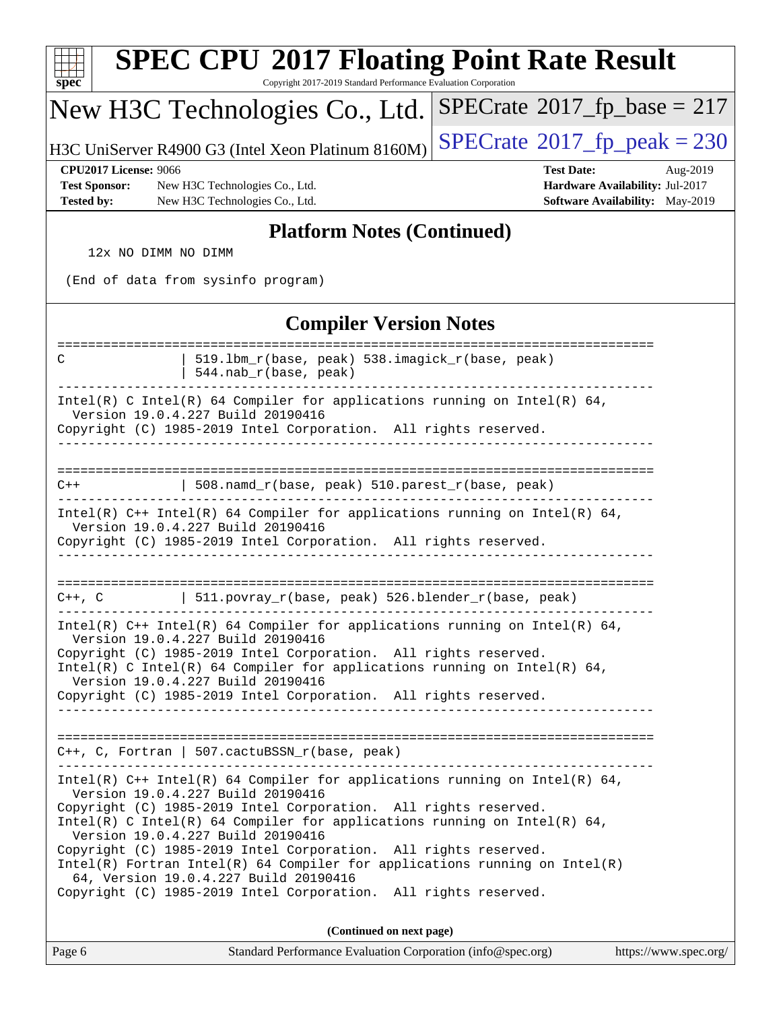| <b>SPEC CPU®2017 Floating Point Rate Result</b><br>Copyright 2017-2019 Standard Performance Evaluation Corporation<br>$spec^*$                                                                                                                       |  |  |  |  |  |  |
|------------------------------------------------------------------------------------------------------------------------------------------------------------------------------------------------------------------------------------------------------|--|--|--|--|--|--|
| $SPECrate$ <sup>®</sup> 2017_fp_base = 217<br>New H3C Technologies Co., Ltd.                                                                                                                                                                         |  |  |  |  |  |  |
| $SPECrate^{\circ}2017$ _fp_peak = 230<br>H3C UniServer R4900 G3 (Intel Xeon Platinum 8160M)                                                                                                                                                          |  |  |  |  |  |  |
| <b>CPU2017 License: 9066</b><br><b>Test Date:</b><br>Aug-2019<br><b>Test Sponsor:</b><br>New H3C Technologies Co., Ltd.<br>Hardware Availability: Jul-2017<br><b>Tested by:</b><br>New H3C Technologies Co., Ltd.<br>Software Availability: May-2019 |  |  |  |  |  |  |
| <b>Platform Notes (Continued)</b>                                                                                                                                                                                                                    |  |  |  |  |  |  |
| 12x NO DIMM NO DIMM                                                                                                                                                                                                                                  |  |  |  |  |  |  |
| (End of data from sysinfo program)                                                                                                                                                                                                                   |  |  |  |  |  |  |
| <b>Compiler Version Notes</b>                                                                                                                                                                                                                        |  |  |  |  |  |  |
| 519.1bm_r(base, peak) 538.imagick_r(base, peak)<br>C<br>544.nab_r(base, peak)                                                                                                                                                                        |  |  |  |  |  |  |
| Intel(R) C Intel(R) 64 Compiler for applications running on Intel(R) 64,<br>Version 19.0.4.227 Build 20190416<br>Copyright (C) 1985-2019 Intel Corporation. All rights reserved.                                                                     |  |  |  |  |  |  |
| 508.namd_r(base, peak) 510.parest_r(base, peak)<br>$C++$                                                                                                                                                                                             |  |  |  |  |  |  |
| $Intel(R)$ C++ Intel(R) 64 Compiler for applications running on Intel(R) 64,<br>Version 19.0.4.227 Build 20190416<br>Copyright (C) 1985-2019 Intel Corporation. All rights reserved.                                                                 |  |  |  |  |  |  |
| $C++$ , $C$<br>511.povray_r(base, peak) 526.blender_r(base, peak)                                                                                                                                                                                    |  |  |  |  |  |  |
| Intel(R) $C++$ Intel(R) 64 Compiler for applications running on Intel(R) 64,<br>Version 19.0.4.227 Build 20190416                                                                                                                                    |  |  |  |  |  |  |
| Copyright (C) 1985-2019 Intel Corporation. All rights reserved.<br>Intel(R) C Intel(R) 64 Compiler for applications running on Intel(R) 64,<br>Version 19.0.4.227 Build 20190416                                                                     |  |  |  |  |  |  |
| Copyright (C) 1985-2019 Intel Corporation. All rights reserved.                                                                                                                                                                                      |  |  |  |  |  |  |
| C++, C, Fortran   507.cactuBSSN_r(base, peak)                                                                                                                                                                                                        |  |  |  |  |  |  |
| Intel(R) C++ Intel(R) 64 Compiler for applications running on Intel(R) 64,<br>Version 19.0.4.227 Build 20190416                                                                                                                                      |  |  |  |  |  |  |
| Copyright (C) 1985-2019 Intel Corporation. All rights reserved.<br>Intel(R) C Intel(R) 64 Compiler for applications running on Intel(R) 64,<br>Version 19.0.4.227 Build 20190416                                                                     |  |  |  |  |  |  |
| Copyright (C) 1985-2019 Intel Corporation. All rights reserved.<br>$Intel(R)$ Fortran Intel(R) 64 Compiler for applications running on Intel(R)<br>64, Version 19.0.4.227 Build 20190416                                                             |  |  |  |  |  |  |
| Copyright (C) 1985-2019 Intel Corporation. All rights reserved.<br>(Continued on next page)                                                                                                                                                          |  |  |  |  |  |  |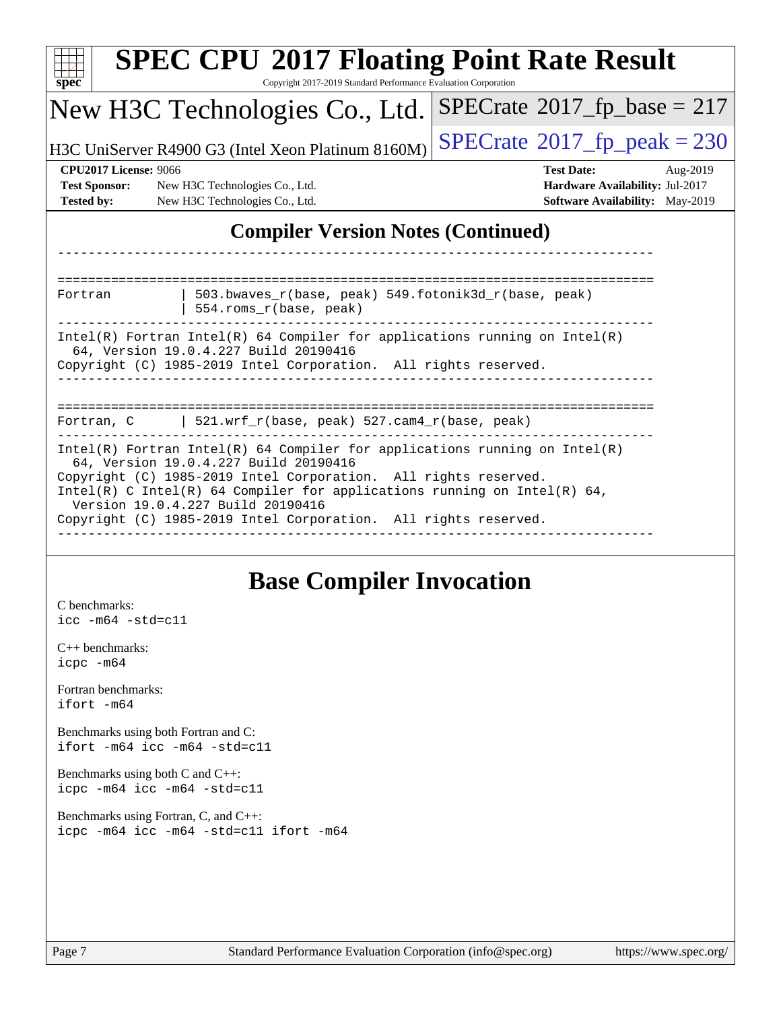| <b>SPEC CPU®2017 Floating Point Rate Result</b><br>Copyright 2017-2019 Standard Performance Evaluation Corporation<br>$spec^*$                                                                                                                       |                                                                                                                                                                                                                                                                                                                                                                              |                                      |  |  |  |  |  |
|------------------------------------------------------------------------------------------------------------------------------------------------------------------------------------------------------------------------------------------------------|------------------------------------------------------------------------------------------------------------------------------------------------------------------------------------------------------------------------------------------------------------------------------------------------------------------------------------------------------------------------------|--------------------------------------|--|--|--|--|--|
|                                                                                                                                                                                                                                                      | New H3C Technologies Co., Ltd.                                                                                                                                                                                                                                                                                                                                               | $SPECrate^{\circ}2017$ fp base = 217 |  |  |  |  |  |
| $SPECTate@2017fr peak = 230$<br>H3C UniServer R4900 G3 (Intel Xeon Platinum 8160M)                                                                                                                                                                   |                                                                                                                                                                                                                                                                                                                                                                              |                                      |  |  |  |  |  |
| <b>CPU2017 License: 9066</b><br><b>Test Date:</b><br>Aug-2019<br><b>Test Sponsor:</b><br>Hardware Availability: Jul-2017<br>New H3C Technologies Co., Ltd.<br>Software Availability: May-2019<br><b>Tested by:</b><br>New H3C Technologies Co., Ltd. |                                                                                                                                                                                                                                                                                                                                                                              |                                      |  |  |  |  |  |
|                                                                                                                                                                                                                                                      | <b>Compiler Version Notes (Continued)</b>                                                                                                                                                                                                                                                                                                                                    |                                      |  |  |  |  |  |
| Fortran                                                                                                                                                                                                                                              | 503.bwaves_r(base, peak) 549.fotonik3d_r(base, peak)<br>554.roms_r(base, peak)                                                                                                                                                                                                                                                                                               |                                      |  |  |  |  |  |
| $Intel(R)$ Fortran Intel(R) 64 Compiler for applications running on Intel(R)<br>64, Version 19.0.4.227 Build 20190416<br>Copyright (C) 1985-2019 Intel Corporation. All rights reserved.                                                             |                                                                                                                                                                                                                                                                                                                                                                              |                                      |  |  |  |  |  |
| Fortran, C                                                                                                                                                                                                                                           | 521.wrf_r(base, peak) 527.cam4_r(base, peak)                                                                                                                                                                                                                                                                                                                                 |                                      |  |  |  |  |  |
|                                                                                                                                                                                                                                                      | $Intel(R)$ Fortran Intel(R) 64 Compiler for applications running on Intel(R)<br>64, Version 19.0.4.227 Build 20190416<br>Copyright (C) 1985-2019 Intel Corporation. All rights reserved.<br>Intel(R) C Intel(R) 64 Compiler for applications running on Intel(R) 64,<br>Version 19.0.4.227 Build 20190416<br>Copyright (C) 1985-2019 Intel Corporation. All rights reserved. |                                      |  |  |  |  |  |
|                                                                                                                                                                                                                                                      | <b>Base Compiler Invocation</b>                                                                                                                                                                                                                                                                                                                                              |                                      |  |  |  |  |  |
| C benchmarks:<br>$\text{icc -m64 -std=cl1}$                                                                                                                                                                                                          |                                                                                                                                                                                                                                                                                                                                                                              |                                      |  |  |  |  |  |
| $C++$ benchmarks:<br>icpc -m64                                                                                                                                                                                                                       |                                                                                                                                                                                                                                                                                                                                                                              |                                      |  |  |  |  |  |
| Fortran benchmarks:<br>ifort -m64                                                                                                                                                                                                                    |                                                                                                                                                                                                                                                                                                                                                                              |                                      |  |  |  |  |  |
| Benchmarks using both Fortran and C:<br>ifort -m64 icc -m64 -std=c11                                                                                                                                                                                 |                                                                                                                                                                                                                                                                                                                                                                              |                                      |  |  |  |  |  |

[Benchmarks using both C and C++](http://www.spec.org/auto/cpu2017/Docs/result-fields.html#BenchmarksusingbothCandCXX): [icpc -m64](http://www.spec.org/cpu2017/results/res2019q3/cpu2017-20190822-17223.flags.html#user_CC_CXXbase_intel_icpc_64bit_4ecb2543ae3f1412ef961e0650ca070fec7b7afdcd6ed48761b84423119d1bf6bdf5cad15b44d48e7256388bc77273b966e5eb805aefd121eb22e9299b2ec9d9) [icc -m64 -std=c11](http://www.spec.org/cpu2017/results/res2019q3/cpu2017-20190822-17223.flags.html#user_CC_CXXbase_intel_icc_64bit_c11_33ee0cdaae7deeeab2a9725423ba97205ce30f63b9926c2519791662299b76a0318f32ddfffdc46587804de3178b4f9328c46fa7c2b0cd779d7a61945c91cd35)

[Benchmarks using Fortran, C, and C++:](http://www.spec.org/auto/cpu2017/Docs/result-fields.html#BenchmarksusingFortranCandCXX) [icpc -m64](http://www.spec.org/cpu2017/results/res2019q3/cpu2017-20190822-17223.flags.html#user_CC_CXX_FCbase_intel_icpc_64bit_4ecb2543ae3f1412ef961e0650ca070fec7b7afdcd6ed48761b84423119d1bf6bdf5cad15b44d48e7256388bc77273b966e5eb805aefd121eb22e9299b2ec9d9) [icc -m64 -std=c11](http://www.spec.org/cpu2017/results/res2019q3/cpu2017-20190822-17223.flags.html#user_CC_CXX_FCbase_intel_icc_64bit_c11_33ee0cdaae7deeeab2a9725423ba97205ce30f63b9926c2519791662299b76a0318f32ddfffdc46587804de3178b4f9328c46fa7c2b0cd779d7a61945c91cd35) [ifort -m64](http://www.spec.org/cpu2017/results/res2019q3/cpu2017-20190822-17223.flags.html#user_CC_CXX_FCbase_intel_ifort_64bit_24f2bb282fbaeffd6157abe4f878425411749daecae9a33200eee2bee2fe76f3b89351d69a8130dd5949958ce389cf37ff59a95e7a40d588e8d3a57e0c3fd751)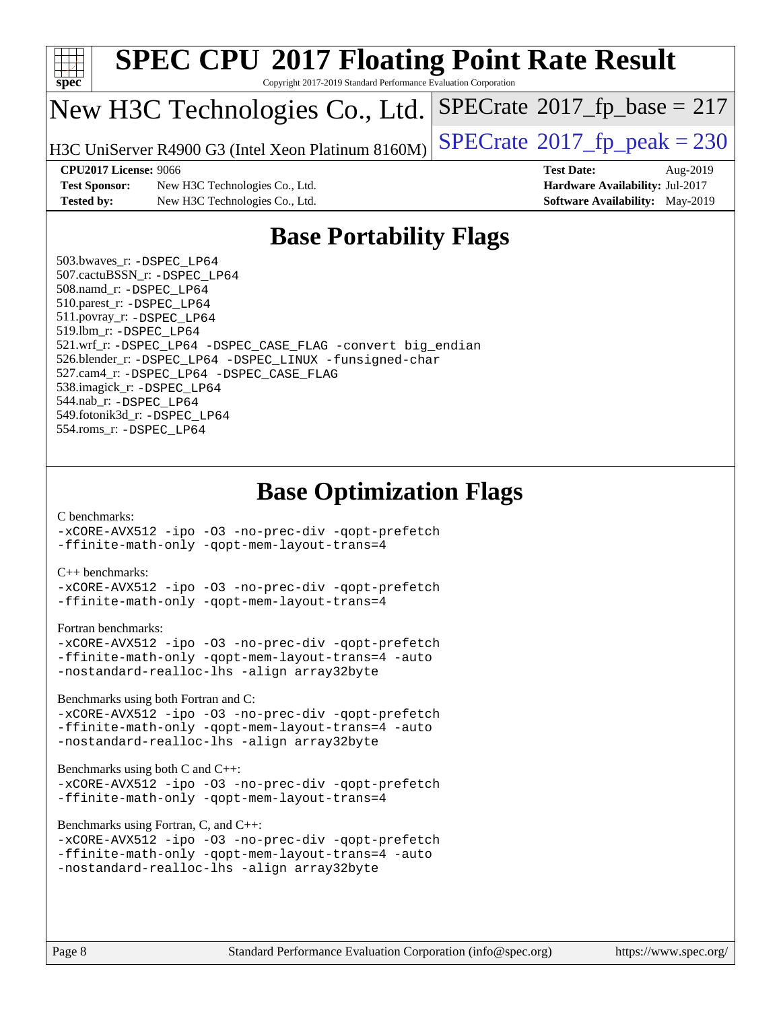

# **[SPEC CPU](http://www.spec.org/auto/cpu2017/Docs/result-fields.html#SPECCPU2017FloatingPointRateResult)[2017 Floating Point Rate Result](http://www.spec.org/auto/cpu2017/Docs/result-fields.html#SPECCPU2017FloatingPointRateResult)**

Copyright 2017-2019 Standard Performance Evaluation Corporation

## New H3C Technologies Co., Ltd.

H3C UniServer R4900 G3 (Intel Xeon Platinum  $8160M$ ) [SPECrate](http://www.spec.org/auto/cpu2017/Docs/result-fields.html#SPECrate2017fppeak)<sup>®</sup>[2017\\_fp\\_peak = 2](http://www.spec.org/auto/cpu2017/Docs/result-fields.html#SPECrate2017fppeak)30

 $SPECTate$ <sup>®</sup>[2017\\_fp\\_base =](http://www.spec.org/auto/cpu2017/Docs/result-fields.html#SPECrate2017fpbase) 217

**[Test Sponsor:](http://www.spec.org/auto/cpu2017/Docs/result-fields.html#TestSponsor)** New H3C Technologies Co., Ltd. **[Hardware Availability:](http://www.spec.org/auto/cpu2017/Docs/result-fields.html#HardwareAvailability)** Jul-2017 **[Tested by:](http://www.spec.org/auto/cpu2017/Docs/result-fields.html#Testedby)** New H3C Technologies Co., Ltd. **[Software Availability:](http://www.spec.org/auto/cpu2017/Docs/result-fields.html#SoftwareAvailability)** May-2019

**[CPU2017 License:](http://www.spec.org/auto/cpu2017/Docs/result-fields.html#CPU2017License)** 9066 **[Test Date:](http://www.spec.org/auto/cpu2017/Docs/result-fields.html#TestDate)** Aug-2019

### **[Base Portability Flags](http://www.spec.org/auto/cpu2017/Docs/result-fields.html#BasePortabilityFlags)**

 503.bwaves\_r: [-DSPEC\\_LP64](http://www.spec.org/cpu2017/results/res2019q3/cpu2017-20190822-17223.flags.html#suite_basePORTABILITY503_bwaves_r_DSPEC_LP64) 507.cactuBSSN\_r: [-DSPEC\\_LP64](http://www.spec.org/cpu2017/results/res2019q3/cpu2017-20190822-17223.flags.html#suite_basePORTABILITY507_cactuBSSN_r_DSPEC_LP64) 508.namd\_r: [-DSPEC\\_LP64](http://www.spec.org/cpu2017/results/res2019q3/cpu2017-20190822-17223.flags.html#suite_basePORTABILITY508_namd_r_DSPEC_LP64) 510.parest\_r: [-DSPEC\\_LP64](http://www.spec.org/cpu2017/results/res2019q3/cpu2017-20190822-17223.flags.html#suite_basePORTABILITY510_parest_r_DSPEC_LP64) 511.povray\_r: [-DSPEC\\_LP64](http://www.spec.org/cpu2017/results/res2019q3/cpu2017-20190822-17223.flags.html#suite_basePORTABILITY511_povray_r_DSPEC_LP64) 519.lbm\_r: [-DSPEC\\_LP64](http://www.spec.org/cpu2017/results/res2019q3/cpu2017-20190822-17223.flags.html#suite_basePORTABILITY519_lbm_r_DSPEC_LP64) 521.wrf\_r: [-DSPEC\\_LP64](http://www.spec.org/cpu2017/results/res2019q3/cpu2017-20190822-17223.flags.html#suite_basePORTABILITY521_wrf_r_DSPEC_LP64) [-DSPEC\\_CASE\\_FLAG](http://www.spec.org/cpu2017/results/res2019q3/cpu2017-20190822-17223.flags.html#b521.wrf_r_baseCPORTABILITY_DSPEC_CASE_FLAG) [-convert big\\_endian](http://www.spec.org/cpu2017/results/res2019q3/cpu2017-20190822-17223.flags.html#user_baseFPORTABILITY521_wrf_r_convert_big_endian_c3194028bc08c63ac5d04de18c48ce6d347e4e562e8892b8bdbdc0214820426deb8554edfa529a3fb25a586e65a3d812c835984020483e7e73212c4d31a38223) 526.blender\_r: [-DSPEC\\_LP64](http://www.spec.org/cpu2017/results/res2019q3/cpu2017-20190822-17223.flags.html#suite_basePORTABILITY526_blender_r_DSPEC_LP64) [-DSPEC\\_LINUX](http://www.spec.org/cpu2017/results/res2019q3/cpu2017-20190822-17223.flags.html#b526.blender_r_baseCPORTABILITY_DSPEC_LINUX) [-funsigned-char](http://www.spec.org/cpu2017/results/res2019q3/cpu2017-20190822-17223.flags.html#user_baseCPORTABILITY526_blender_r_force_uchar_40c60f00ab013830e2dd6774aeded3ff59883ba5a1fc5fc14077f794d777847726e2a5858cbc7672e36e1b067e7e5c1d9a74f7176df07886a243d7cc18edfe67) 527.cam4\_r: [-DSPEC\\_LP64](http://www.spec.org/cpu2017/results/res2019q3/cpu2017-20190822-17223.flags.html#suite_basePORTABILITY527_cam4_r_DSPEC_LP64) [-DSPEC\\_CASE\\_FLAG](http://www.spec.org/cpu2017/results/res2019q3/cpu2017-20190822-17223.flags.html#b527.cam4_r_baseCPORTABILITY_DSPEC_CASE_FLAG) 538.imagick\_r: [-DSPEC\\_LP64](http://www.spec.org/cpu2017/results/res2019q3/cpu2017-20190822-17223.flags.html#suite_basePORTABILITY538_imagick_r_DSPEC_LP64) 544.nab\_r: [-DSPEC\\_LP64](http://www.spec.org/cpu2017/results/res2019q3/cpu2017-20190822-17223.flags.html#suite_basePORTABILITY544_nab_r_DSPEC_LP64) 549.fotonik3d\_r: [-DSPEC\\_LP64](http://www.spec.org/cpu2017/results/res2019q3/cpu2017-20190822-17223.flags.html#suite_basePORTABILITY549_fotonik3d_r_DSPEC_LP64) 554.roms\_r: [-DSPEC\\_LP64](http://www.spec.org/cpu2017/results/res2019q3/cpu2017-20190822-17223.flags.html#suite_basePORTABILITY554_roms_r_DSPEC_LP64)

### **[Base Optimization Flags](http://www.spec.org/auto/cpu2017/Docs/result-fields.html#BaseOptimizationFlags)**

### [C benchmarks](http://www.spec.org/auto/cpu2017/Docs/result-fields.html#Cbenchmarks):

[-xCORE-AVX512](http://www.spec.org/cpu2017/results/res2019q3/cpu2017-20190822-17223.flags.html#user_CCbase_f-xCORE-AVX512) [-ipo](http://www.spec.org/cpu2017/results/res2019q3/cpu2017-20190822-17223.flags.html#user_CCbase_f-ipo) [-O3](http://www.spec.org/cpu2017/results/res2019q3/cpu2017-20190822-17223.flags.html#user_CCbase_f-O3) [-no-prec-div](http://www.spec.org/cpu2017/results/res2019q3/cpu2017-20190822-17223.flags.html#user_CCbase_f-no-prec-div) [-qopt-prefetch](http://www.spec.org/cpu2017/results/res2019q3/cpu2017-20190822-17223.flags.html#user_CCbase_f-qopt-prefetch) [-ffinite-math-only](http://www.spec.org/cpu2017/results/res2019q3/cpu2017-20190822-17223.flags.html#user_CCbase_f_finite_math_only_cb91587bd2077682c4b38af759c288ed7c732db004271a9512da14a4f8007909a5f1427ecbf1a0fb78ff2a814402c6114ac565ca162485bbcae155b5e4258871) [-qopt-mem-layout-trans=4](http://www.spec.org/cpu2017/results/res2019q3/cpu2017-20190822-17223.flags.html#user_CCbase_f-qopt-mem-layout-trans_fa39e755916c150a61361b7846f310bcdf6f04e385ef281cadf3647acec3f0ae266d1a1d22d972a7087a248fd4e6ca390a3634700869573d231a252c784941a8)

### [C++ benchmarks:](http://www.spec.org/auto/cpu2017/Docs/result-fields.html#CXXbenchmarks)

[-xCORE-AVX512](http://www.spec.org/cpu2017/results/res2019q3/cpu2017-20190822-17223.flags.html#user_CXXbase_f-xCORE-AVX512) [-ipo](http://www.spec.org/cpu2017/results/res2019q3/cpu2017-20190822-17223.flags.html#user_CXXbase_f-ipo) [-O3](http://www.spec.org/cpu2017/results/res2019q3/cpu2017-20190822-17223.flags.html#user_CXXbase_f-O3) [-no-prec-div](http://www.spec.org/cpu2017/results/res2019q3/cpu2017-20190822-17223.flags.html#user_CXXbase_f-no-prec-div) [-qopt-prefetch](http://www.spec.org/cpu2017/results/res2019q3/cpu2017-20190822-17223.flags.html#user_CXXbase_f-qopt-prefetch) [-ffinite-math-only](http://www.spec.org/cpu2017/results/res2019q3/cpu2017-20190822-17223.flags.html#user_CXXbase_f_finite_math_only_cb91587bd2077682c4b38af759c288ed7c732db004271a9512da14a4f8007909a5f1427ecbf1a0fb78ff2a814402c6114ac565ca162485bbcae155b5e4258871) [-qopt-mem-layout-trans=4](http://www.spec.org/cpu2017/results/res2019q3/cpu2017-20190822-17223.flags.html#user_CXXbase_f-qopt-mem-layout-trans_fa39e755916c150a61361b7846f310bcdf6f04e385ef281cadf3647acec3f0ae266d1a1d22d972a7087a248fd4e6ca390a3634700869573d231a252c784941a8)

### [Fortran benchmarks](http://www.spec.org/auto/cpu2017/Docs/result-fields.html#Fortranbenchmarks):

```
-xCORE-AVX512 -ipo -O3 -no-prec-div -qopt-prefetch
-ffinite-math-only -qopt-mem-layout-trans=4 -auto
-nostandard-realloc-lhs -align array32byte
```
[Benchmarks using both Fortran and C](http://www.spec.org/auto/cpu2017/Docs/result-fields.html#BenchmarksusingbothFortranandC):

```
-xCORE-AVX512 -ipo -O3 -no-prec-div -qopt-prefetch
-ffinite-math-only -qopt-mem-layout-trans=4 -auto
-nostandard-realloc-lhs -align array32byte
```
### [Benchmarks using both C and C++](http://www.spec.org/auto/cpu2017/Docs/result-fields.html#BenchmarksusingbothCandCXX):

```
-xCORE-AVX512 -ipo -O3 -no-prec-div -qopt-prefetch
-ffinite-math-only -qopt-mem-layout-trans=4
```
### [Benchmarks using Fortran, C, and C++:](http://www.spec.org/auto/cpu2017/Docs/result-fields.html#BenchmarksusingFortranCandCXX)

```
-xCORE-AVX512 -ipo -O3 -no-prec-div -qopt-prefetch
-ffinite-math-only -qopt-mem-layout-trans=4 -auto
-nostandard-realloc-lhs -align array32byte
```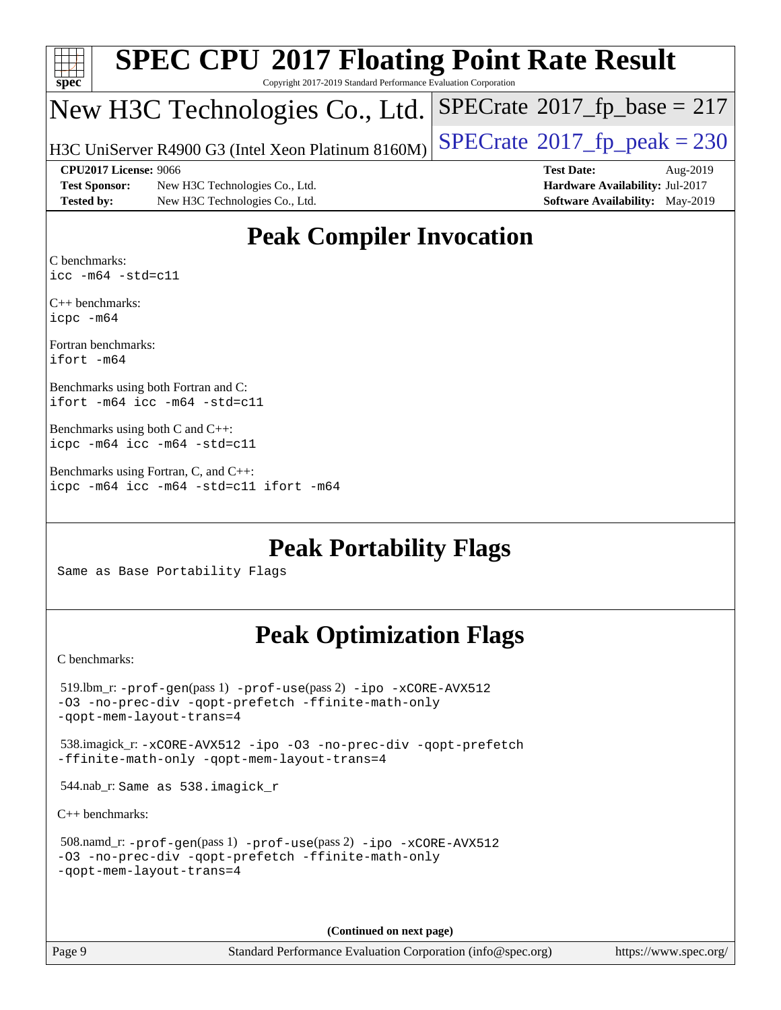| <b>SPEC CPU®2017 Floating Point Rate Result</b><br>Spec<br>Copyright 2017-2019 Standard Performance Evaluation Corporation |                                                    |                                        |  |  |  |  |  |
|----------------------------------------------------------------------------------------------------------------------------|----------------------------------------------------|----------------------------------------|--|--|--|--|--|
|                                                                                                                            | New H3C Technologies Co., Ltd.                     | $SPECrate^{\circ}2017_fp\_base = 217$  |  |  |  |  |  |
|                                                                                                                            | H3C UniServer R4900 G3 (Intel Xeon Platinum 8160M) | $SPECTate@2017_fp\_peak = 230$         |  |  |  |  |  |
|                                                                                                                            | <b>CPU2017 License: 9066</b>                       | <b>Test Date:</b><br>Aug-2019          |  |  |  |  |  |
| <b>Test Sponsor:</b>                                                                                                       | New H3C Technologies Co., Ltd.                     | Hardware Availability: Jul-2017        |  |  |  |  |  |
| <b>Tested by:</b>                                                                                                          | New H3C Technologies Co., Ltd.                     | <b>Software Availability:</b> May-2019 |  |  |  |  |  |
| <b>Peak Compiler Invocation</b>                                                                                            |                                                    |                                        |  |  |  |  |  |

### [C benchmarks](http://www.spec.org/auto/cpu2017/Docs/result-fields.html#Cbenchmarks): [icc -m64 -std=c11](http://www.spec.org/cpu2017/results/res2019q3/cpu2017-20190822-17223.flags.html#user_CCpeak_intel_icc_64bit_c11_33ee0cdaae7deeeab2a9725423ba97205ce30f63b9926c2519791662299b76a0318f32ddfffdc46587804de3178b4f9328c46fa7c2b0cd779d7a61945c91cd35)

[C++ benchmarks:](http://www.spec.org/auto/cpu2017/Docs/result-fields.html#CXXbenchmarks) [icpc -m64](http://www.spec.org/cpu2017/results/res2019q3/cpu2017-20190822-17223.flags.html#user_CXXpeak_intel_icpc_64bit_4ecb2543ae3f1412ef961e0650ca070fec7b7afdcd6ed48761b84423119d1bf6bdf5cad15b44d48e7256388bc77273b966e5eb805aefd121eb22e9299b2ec9d9)

[Fortran benchmarks](http://www.spec.org/auto/cpu2017/Docs/result-fields.html#Fortranbenchmarks): [ifort -m64](http://www.spec.org/cpu2017/results/res2019q3/cpu2017-20190822-17223.flags.html#user_FCpeak_intel_ifort_64bit_24f2bb282fbaeffd6157abe4f878425411749daecae9a33200eee2bee2fe76f3b89351d69a8130dd5949958ce389cf37ff59a95e7a40d588e8d3a57e0c3fd751)

[Benchmarks using both Fortran and C](http://www.spec.org/auto/cpu2017/Docs/result-fields.html#BenchmarksusingbothFortranandC): [ifort -m64](http://www.spec.org/cpu2017/results/res2019q3/cpu2017-20190822-17223.flags.html#user_CC_FCpeak_intel_ifort_64bit_24f2bb282fbaeffd6157abe4f878425411749daecae9a33200eee2bee2fe76f3b89351d69a8130dd5949958ce389cf37ff59a95e7a40d588e8d3a57e0c3fd751) [icc -m64 -std=c11](http://www.spec.org/cpu2017/results/res2019q3/cpu2017-20190822-17223.flags.html#user_CC_FCpeak_intel_icc_64bit_c11_33ee0cdaae7deeeab2a9725423ba97205ce30f63b9926c2519791662299b76a0318f32ddfffdc46587804de3178b4f9328c46fa7c2b0cd779d7a61945c91cd35)

```
Benchmarks using both C and C++: 
icpc -m64 icc -m64 -std=c11
```
[Benchmarks using Fortran, C, and C++:](http://www.spec.org/auto/cpu2017/Docs/result-fields.html#BenchmarksusingFortranCandCXX) [icpc -m64](http://www.spec.org/cpu2017/results/res2019q3/cpu2017-20190822-17223.flags.html#user_CC_CXX_FCpeak_intel_icpc_64bit_4ecb2543ae3f1412ef961e0650ca070fec7b7afdcd6ed48761b84423119d1bf6bdf5cad15b44d48e7256388bc77273b966e5eb805aefd121eb22e9299b2ec9d9) [icc -m64 -std=c11](http://www.spec.org/cpu2017/results/res2019q3/cpu2017-20190822-17223.flags.html#user_CC_CXX_FCpeak_intel_icc_64bit_c11_33ee0cdaae7deeeab2a9725423ba97205ce30f63b9926c2519791662299b76a0318f32ddfffdc46587804de3178b4f9328c46fa7c2b0cd779d7a61945c91cd35) [ifort -m64](http://www.spec.org/cpu2017/results/res2019q3/cpu2017-20190822-17223.flags.html#user_CC_CXX_FCpeak_intel_ifort_64bit_24f2bb282fbaeffd6157abe4f878425411749daecae9a33200eee2bee2fe76f3b89351d69a8130dd5949958ce389cf37ff59a95e7a40d588e8d3a57e0c3fd751)

### **[Peak Portability Flags](http://www.spec.org/auto/cpu2017/Docs/result-fields.html#PeakPortabilityFlags)**

Same as Base Portability Flags

## **[Peak Optimization Flags](http://www.spec.org/auto/cpu2017/Docs/result-fields.html#PeakOptimizationFlags)**

[C benchmarks](http://www.spec.org/auto/cpu2017/Docs/result-fields.html#Cbenchmarks):

```
 519.lbm_r: -prof-gen(pass 1) -prof-use(pass 2) -ipo -xCORE-AVX512
-O3 -no-prec-div -qopt-prefetch -ffinite-math-only
-qopt-mem-layout-trans=4
 538.imagick_r: -xCORE-AVX512 -ipo -O3 -no-prec-div -qopt-prefetch
-ffinite-math-only -qopt-mem-layout-trans=4
 544.nab_r: Same as 538.imagick_r
C++ benchmarks: 
 508.namd_r: -prof-gen(pass 1) -prof-use(pass 2) -ipo -xCORE-AVX512
-O3 -no-prec-div -qopt-prefetch -ffinite-math-only
-qopt-mem-layout-trans=4
```
**(Continued on next page)**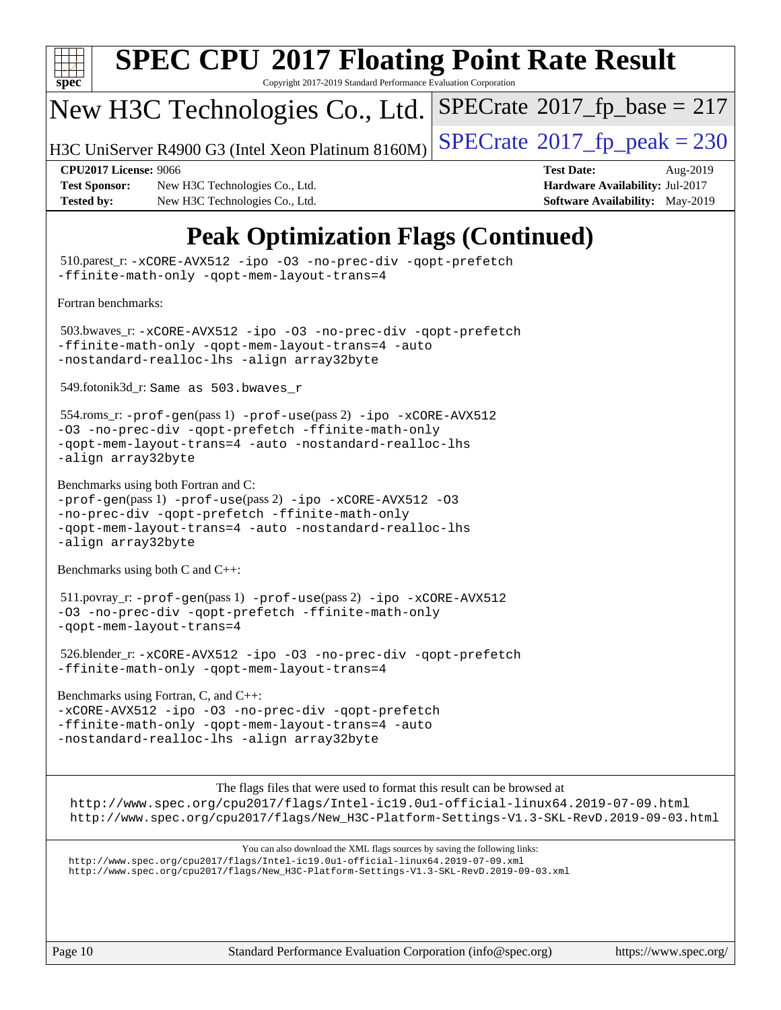

# **[SPEC CPU](http://www.spec.org/auto/cpu2017/Docs/result-fields.html#SPECCPU2017FloatingPointRateResult)[2017 Floating Point Rate Result](http://www.spec.org/auto/cpu2017/Docs/result-fields.html#SPECCPU2017FloatingPointRateResult)**

Copyright 2017-2019 Standard Performance Evaluation Corporation

## New H3C Technologies Co., Ltd.

H3C UniServer R4900 G3 (Intel Xeon Platinum 8160M)  $\big|\operatorname{SPECrate}@2017\_fp\_peak = 230$  $\big|\operatorname{SPECrate}@2017\_fp\_peak = 230$  $\big|\operatorname{SPECrate}@2017\_fp\_peak = 230$ 

 $SPECTate$ <sup>®</sup>[2017\\_fp\\_base =](http://www.spec.org/auto/cpu2017/Docs/result-fields.html#SPECrate2017fpbase) 217

**[Test Sponsor:](http://www.spec.org/auto/cpu2017/Docs/result-fields.html#TestSponsor)** New H3C Technologies Co., Ltd. **[Hardware Availability:](http://www.spec.org/auto/cpu2017/Docs/result-fields.html#HardwareAvailability) Jul-2017 [Tested by:](http://www.spec.org/auto/cpu2017/Docs/result-fields.html#Testedby)** New H3C Technologies Co., Ltd. **[Software Availability:](http://www.spec.org/auto/cpu2017/Docs/result-fields.html#SoftwareAvailability)** May-2019

**[CPU2017 License:](http://www.spec.org/auto/cpu2017/Docs/result-fields.html#CPU2017License)** 9066 **[Test Date:](http://www.spec.org/auto/cpu2017/Docs/result-fields.html#TestDate)** Aug-2019

## **[Peak Optimization Flags \(Continued\)](http://www.spec.org/auto/cpu2017/Docs/result-fields.html#PeakOptimizationFlags)**

Page 10 Standard Performance Evaluation Corporation [\(info@spec.org\)](mailto:info@spec.org) <https://www.spec.org/> 510.parest\_r: [-xCORE-AVX512](http://www.spec.org/cpu2017/results/res2019q3/cpu2017-20190822-17223.flags.html#user_peakCXXOPTIMIZE510_parest_r_f-xCORE-AVX512) [-ipo](http://www.spec.org/cpu2017/results/res2019q3/cpu2017-20190822-17223.flags.html#user_peakCXXOPTIMIZE510_parest_r_f-ipo) [-O3](http://www.spec.org/cpu2017/results/res2019q3/cpu2017-20190822-17223.flags.html#user_peakCXXOPTIMIZE510_parest_r_f-O3) [-no-prec-div](http://www.spec.org/cpu2017/results/res2019q3/cpu2017-20190822-17223.flags.html#user_peakCXXOPTIMIZE510_parest_r_f-no-prec-div) [-qopt-prefetch](http://www.spec.org/cpu2017/results/res2019q3/cpu2017-20190822-17223.flags.html#user_peakCXXOPTIMIZE510_parest_r_f-qopt-prefetch) [-ffinite-math-only](http://www.spec.org/cpu2017/results/res2019q3/cpu2017-20190822-17223.flags.html#user_peakCXXOPTIMIZE510_parest_r_f_finite_math_only_cb91587bd2077682c4b38af759c288ed7c732db004271a9512da14a4f8007909a5f1427ecbf1a0fb78ff2a814402c6114ac565ca162485bbcae155b5e4258871) [-qopt-mem-layout-trans=4](http://www.spec.org/cpu2017/results/res2019q3/cpu2017-20190822-17223.flags.html#user_peakCXXOPTIMIZE510_parest_r_f-qopt-mem-layout-trans_fa39e755916c150a61361b7846f310bcdf6f04e385ef281cadf3647acec3f0ae266d1a1d22d972a7087a248fd4e6ca390a3634700869573d231a252c784941a8) [Fortran benchmarks](http://www.spec.org/auto/cpu2017/Docs/result-fields.html#Fortranbenchmarks): 503.bwaves\_r: [-xCORE-AVX512](http://www.spec.org/cpu2017/results/res2019q3/cpu2017-20190822-17223.flags.html#user_peakFOPTIMIZE503_bwaves_r_f-xCORE-AVX512) [-ipo](http://www.spec.org/cpu2017/results/res2019q3/cpu2017-20190822-17223.flags.html#user_peakFOPTIMIZE503_bwaves_r_f-ipo) [-O3](http://www.spec.org/cpu2017/results/res2019q3/cpu2017-20190822-17223.flags.html#user_peakFOPTIMIZE503_bwaves_r_f-O3) [-no-prec-div](http://www.spec.org/cpu2017/results/res2019q3/cpu2017-20190822-17223.flags.html#user_peakFOPTIMIZE503_bwaves_r_f-no-prec-div) [-qopt-prefetch](http://www.spec.org/cpu2017/results/res2019q3/cpu2017-20190822-17223.flags.html#user_peakFOPTIMIZE503_bwaves_r_f-qopt-prefetch) [-ffinite-math-only](http://www.spec.org/cpu2017/results/res2019q3/cpu2017-20190822-17223.flags.html#user_peakFOPTIMIZE503_bwaves_r_f_finite_math_only_cb91587bd2077682c4b38af759c288ed7c732db004271a9512da14a4f8007909a5f1427ecbf1a0fb78ff2a814402c6114ac565ca162485bbcae155b5e4258871) [-qopt-mem-layout-trans=4](http://www.spec.org/cpu2017/results/res2019q3/cpu2017-20190822-17223.flags.html#user_peakFOPTIMIZE503_bwaves_r_f-qopt-mem-layout-trans_fa39e755916c150a61361b7846f310bcdf6f04e385ef281cadf3647acec3f0ae266d1a1d22d972a7087a248fd4e6ca390a3634700869573d231a252c784941a8) [-auto](http://www.spec.org/cpu2017/results/res2019q3/cpu2017-20190822-17223.flags.html#user_peakFOPTIMIZE503_bwaves_r_f-auto) [-nostandard-realloc-lhs](http://www.spec.org/cpu2017/results/res2019q3/cpu2017-20190822-17223.flags.html#user_peakEXTRA_FOPTIMIZE503_bwaves_r_f_2003_std_realloc_82b4557e90729c0f113870c07e44d33d6f5a304b4f63d4c15d2d0f1fab99f5daaed73bdb9275d9ae411527f28b936061aa8b9c8f2d63842963b95c9dd6426b8a) [-align array32byte](http://www.spec.org/cpu2017/results/res2019q3/cpu2017-20190822-17223.flags.html#user_peakEXTRA_FOPTIMIZE503_bwaves_r_align_array32byte_b982fe038af199962ba9a80c053b8342c548c85b40b8e86eb3cc33dee0d7986a4af373ac2d51c3f7cf710a18d62fdce2948f201cd044323541f22fc0fffc51b6) 549.fotonik3d\_r: Same as 503.bwaves\_r 554.roms\_r: [-prof-gen](http://www.spec.org/cpu2017/results/res2019q3/cpu2017-20190822-17223.flags.html#user_peakPASS1_FFLAGSPASS1_LDFLAGS554_roms_r_prof_gen_5aa4926d6013ddb2a31985c654b3eb18169fc0c6952a63635c234f711e6e63dd76e94ad52365559451ec499a2cdb89e4dc58ba4c67ef54ca681ffbe1461d6b36)(pass 1) [-prof-use](http://www.spec.org/cpu2017/results/res2019q3/cpu2017-20190822-17223.flags.html#user_peakPASS2_FFLAGSPASS2_LDFLAGS554_roms_r_prof_use_1a21ceae95f36a2b53c25747139a6c16ca95bd9def2a207b4f0849963b97e94f5260e30a0c64f4bb623698870e679ca08317ef8150905d41bd88c6f78df73f19)(pass 2) [-ipo](http://www.spec.org/cpu2017/results/res2019q3/cpu2017-20190822-17223.flags.html#user_peakPASS1_FOPTIMIZEPASS2_FOPTIMIZE554_roms_r_f-ipo) [-xCORE-AVX512](http://www.spec.org/cpu2017/results/res2019q3/cpu2017-20190822-17223.flags.html#user_peakPASS2_FOPTIMIZE554_roms_r_f-xCORE-AVX512) [-O3](http://www.spec.org/cpu2017/results/res2019q3/cpu2017-20190822-17223.flags.html#user_peakPASS1_FOPTIMIZEPASS2_FOPTIMIZE554_roms_r_f-O3) [-no-prec-div](http://www.spec.org/cpu2017/results/res2019q3/cpu2017-20190822-17223.flags.html#user_peakPASS1_FOPTIMIZEPASS2_FOPTIMIZE554_roms_r_f-no-prec-div) [-qopt-prefetch](http://www.spec.org/cpu2017/results/res2019q3/cpu2017-20190822-17223.flags.html#user_peakPASS1_FOPTIMIZEPASS2_FOPTIMIZE554_roms_r_f-qopt-prefetch) [-ffinite-math-only](http://www.spec.org/cpu2017/results/res2019q3/cpu2017-20190822-17223.flags.html#user_peakPASS1_FOPTIMIZEPASS2_FOPTIMIZE554_roms_r_f_finite_math_only_cb91587bd2077682c4b38af759c288ed7c732db004271a9512da14a4f8007909a5f1427ecbf1a0fb78ff2a814402c6114ac565ca162485bbcae155b5e4258871) [-qopt-mem-layout-trans=4](http://www.spec.org/cpu2017/results/res2019q3/cpu2017-20190822-17223.flags.html#user_peakPASS1_FOPTIMIZEPASS2_FOPTIMIZE554_roms_r_f-qopt-mem-layout-trans_fa39e755916c150a61361b7846f310bcdf6f04e385ef281cadf3647acec3f0ae266d1a1d22d972a7087a248fd4e6ca390a3634700869573d231a252c784941a8) [-auto](http://www.spec.org/cpu2017/results/res2019q3/cpu2017-20190822-17223.flags.html#user_peakPASS2_FOPTIMIZE554_roms_r_f-auto) [-nostandard-realloc-lhs](http://www.spec.org/cpu2017/results/res2019q3/cpu2017-20190822-17223.flags.html#user_peakEXTRA_FOPTIMIZE554_roms_r_f_2003_std_realloc_82b4557e90729c0f113870c07e44d33d6f5a304b4f63d4c15d2d0f1fab99f5daaed73bdb9275d9ae411527f28b936061aa8b9c8f2d63842963b95c9dd6426b8a) [-align array32byte](http://www.spec.org/cpu2017/results/res2019q3/cpu2017-20190822-17223.flags.html#user_peakEXTRA_FOPTIMIZE554_roms_r_align_array32byte_b982fe038af199962ba9a80c053b8342c548c85b40b8e86eb3cc33dee0d7986a4af373ac2d51c3f7cf710a18d62fdce2948f201cd044323541f22fc0fffc51b6) [Benchmarks using both Fortran and C](http://www.spec.org/auto/cpu2017/Docs/result-fields.html#BenchmarksusingbothFortranandC):  $-prof-qen(pass 1) -prof-use(pass 2) -ipo -xCORE-AVX512 -O3$  $-prof-qen(pass 1) -prof-use(pass 2) -ipo -xCORE-AVX512 -O3$  $-prof-qen(pass 1) -prof-use(pass 2) -ipo -xCORE-AVX512 -O3$  $-prof-qen(pass 1) -prof-use(pass 2) -ipo -xCORE-AVX512 -O3$  $-prof-qen(pass 1) -prof-use(pass 2) -ipo -xCORE-AVX512 -O3$  $-prof-qen(pass 1) -prof-use(pass 2) -ipo -xCORE-AVX512 -O3$  $-prof-qen(pass 1) -prof-use(pass 2) -ipo -xCORE-AVX512 -O3$  $-prof-qen(pass 1) -prof-use(pass 2) -ipo -xCORE-AVX512 -O3$ [-no-prec-div](http://www.spec.org/cpu2017/results/res2019q3/cpu2017-20190822-17223.flags.html#user_CC_FCpeak_f-no-prec-div) [-qopt-prefetch](http://www.spec.org/cpu2017/results/res2019q3/cpu2017-20190822-17223.flags.html#user_CC_FCpeak_f-qopt-prefetch) [-ffinite-math-only](http://www.spec.org/cpu2017/results/res2019q3/cpu2017-20190822-17223.flags.html#user_CC_FCpeak_f_finite_math_only_cb91587bd2077682c4b38af759c288ed7c732db004271a9512da14a4f8007909a5f1427ecbf1a0fb78ff2a814402c6114ac565ca162485bbcae155b5e4258871) [-qopt-mem-layout-trans=4](http://www.spec.org/cpu2017/results/res2019q3/cpu2017-20190822-17223.flags.html#user_CC_FCpeak_f-qopt-mem-layout-trans_fa39e755916c150a61361b7846f310bcdf6f04e385ef281cadf3647acec3f0ae266d1a1d22d972a7087a248fd4e6ca390a3634700869573d231a252c784941a8) [-auto](http://www.spec.org/cpu2017/results/res2019q3/cpu2017-20190822-17223.flags.html#user_CC_FCpeak_f-auto) [-nostandard-realloc-lhs](http://www.spec.org/cpu2017/results/res2019q3/cpu2017-20190822-17223.flags.html#user_CC_FCpeak_f_2003_std_realloc_82b4557e90729c0f113870c07e44d33d6f5a304b4f63d4c15d2d0f1fab99f5daaed73bdb9275d9ae411527f28b936061aa8b9c8f2d63842963b95c9dd6426b8a) [-align array32byte](http://www.spec.org/cpu2017/results/res2019q3/cpu2017-20190822-17223.flags.html#user_CC_FCpeak_align_array32byte_b982fe038af199962ba9a80c053b8342c548c85b40b8e86eb3cc33dee0d7986a4af373ac2d51c3f7cf710a18d62fdce2948f201cd044323541f22fc0fffc51b6) [Benchmarks using both C and C++](http://www.spec.org/auto/cpu2017/Docs/result-fields.html#BenchmarksusingbothCandCXX): 511.povray\_r: [-prof-gen](http://www.spec.org/cpu2017/results/res2019q3/cpu2017-20190822-17223.flags.html#user_peakPASS1_CFLAGSPASS1_CXXFLAGSPASS1_LDFLAGS511_povray_r_prof_gen_5aa4926d6013ddb2a31985c654b3eb18169fc0c6952a63635c234f711e6e63dd76e94ad52365559451ec499a2cdb89e4dc58ba4c67ef54ca681ffbe1461d6b36)(pass 1) [-prof-use](http://www.spec.org/cpu2017/results/res2019q3/cpu2017-20190822-17223.flags.html#user_peakPASS2_CFLAGSPASS2_CXXFLAGSPASS2_LDFLAGS511_povray_r_prof_use_1a21ceae95f36a2b53c25747139a6c16ca95bd9def2a207b4f0849963b97e94f5260e30a0c64f4bb623698870e679ca08317ef8150905d41bd88c6f78df73f19)(pass 2) [-ipo](http://www.spec.org/cpu2017/results/res2019q3/cpu2017-20190822-17223.flags.html#user_peakPASS1_COPTIMIZEPASS1_CXXOPTIMIZEPASS2_COPTIMIZEPASS2_CXXOPTIMIZE511_povray_r_f-ipo) [-xCORE-AVX512](http://www.spec.org/cpu2017/results/res2019q3/cpu2017-20190822-17223.flags.html#user_peakPASS2_COPTIMIZEPASS2_CXXOPTIMIZE511_povray_r_f-xCORE-AVX512) [-O3](http://www.spec.org/cpu2017/results/res2019q3/cpu2017-20190822-17223.flags.html#user_peakPASS1_COPTIMIZEPASS1_CXXOPTIMIZEPASS2_COPTIMIZEPASS2_CXXOPTIMIZE511_povray_r_f-O3) [-no-prec-div](http://www.spec.org/cpu2017/results/res2019q3/cpu2017-20190822-17223.flags.html#user_peakPASS1_COPTIMIZEPASS1_CXXOPTIMIZEPASS2_COPTIMIZEPASS2_CXXOPTIMIZE511_povray_r_f-no-prec-div) [-qopt-prefetch](http://www.spec.org/cpu2017/results/res2019q3/cpu2017-20190822-17223.flags.html#user_peakPASS1_COPTIMIZEPASS1_CXXOPTIMIZEPASS2_COPTIMIZEPASS2_CXXOPTIMIZE511_povray_r_f-qopt-prefetch) [-ffinite-math-only](http://www.spec.org/cpu2017/results/res2019q3/cpu2017-20190822-17223.flags.html#user_peakPASS1_COPTIMIZEPASS1_CXXOPTIMIZEPASS2_COPTIMIZEPASS2_CXXOPTIMIZE511_povray_r_f_finite_math_only_cb91587bd2077682c4b38af759c288ed7c732db004271a9512da14a4f8007909a5f1427ecbf1a0fb78ff2a814402c6114ac565ca162485bbcae155b5e4258871) [-qopt-mem-layout-trans=4](http://www.spec.org/cpu2017/results/res2019q3/cpu2017-20190822-17223.flags.html#user_peakPASS1_COPTIMIZEPASS1_CXXOPTIMIZEPASS2_COPTIMIZEPASS2_CXXOPTIMIZE511_povray_r_f-qopt-mem-layout-trans_fa39e755916c150a61361b7846f310bcdf6f04e385ef281cadf3647acec3f0ae266d1a1d22d972a7087a248fd4e6ca390a3634700869573d231a252c784941a8) 526.blender\_r: [-xCORE-AVX512](http://www.spec.org/cpu2017/results/res2019q3/cpu2017-20190822-17223.flags.html#user_peakCOPTIMIZECXXOPTIMIZE526_blender_r_f-xCORE-AVX512) [-ipo](http://www.spec.org/cpu2017/results/res2019q3/cpu2017-20190822-17223.flags.html#user_peakCOPTIMIZECXXOPTIMIZE526_blender_r_f-ipo) [-O3](http://www.spec.org/cpu2017/results/res2019q3/cpu2017-20190822-17223.flags.html#user_peakCOPTIMIZECXXOPTIMIZE526_blender_r_f-O3) [-no-prec-div](http://www.spec.org/cpu2017/results/res2019q3/cpu2017-20190822-17223.flags.html#user_peakCOPTIMIZECXXOPTIMIZE526_blender_r_f-no-prec-div) [-qopt-prefetch](http://www.spec.org/cpu2017/results/res2019q3/cpu2017-20190822-17223.flags.html#user_peakCOPTIMIZECXXOPTIMIZE526_blender_r_f-qopt-prefetch) [-ffinite-math-only](http://www.spec.org/cpu2017/results/res2019q3/cpu2017-20190822-17223.flags.html#user_peakCOPTIMIZECXXOPTIMIZE526_blender_r_f_finite_math_only_cb91587bd2077682c4b38af759c288ed7c732db004271a9512da14a4f8007909a5f1427ecbf1a0fb78ff2a814402c6114ac565ca162485bbcae155b5e4258871) [-qopt-mem-layout-trans=4](http://www.spec.org/cpu2017/results/res2019q3/cpu2017-20190822-17223.flags.html#user_peakCOPTIMIZECXXOPTIMIZE526_blender_r_f-qopt-mem-layout-trans_fa39e755916c150a61361b7846f310bcdf6f04e385ef281cadf3647acec3f0ae266d1a1d22d972a7087a248fd4e6ca390a3634700869573d231a252c784941a8) [Benchmarks using Fortran, C, and C++:](http://www.spec.org/auto/cpu2017/Docs/result-fields.html#BenchmarksusingFortranCandCXX) [-xCORE-AVX512](http://www.spec.org/cpu2017/results/res2019q3/cpu2017-20190822-17223.flags.html#user_CC_CXX_FCpeak_f-xCORE-AVX512) [-ipo](http://www.spec.org/cpu2017/results/res2019q3/cpu2017-20190822-17223.flags.html#user_CC_CXX_FCpeak_f-ipo) [-O3](http://www.spec.org/cpu2017/results/res2019q3/cpu2017-20190822-17223.flags.html#user_CC_CXX_FCpeak_f-O3) [-no-prec-div](http://www.spec.org/cpu2017/results/res2019q3/cpu2017-20190822-17223.flags.html#user_CC_CXX_FCpeak_f-no-prec-div) [-qopt-prefetch](http://www.spec.org/cpu2017/results/res2019q3/cpu2017-20190822-17223.flags.html#user_CC_CXX_FCpeak_f-qopt-prefetch) [-ffinite-math-only](http://www.spec.org/cpu2017/results/res2019q3/cpu2017-20190822-17223.flags.html#user_CC_CXX_FCpeak_f_finite_math_only_cb91587bd2077682c4b38af759c288ed7c732db004271a9512da14a4f8007909a5f1427ecbf1a0fb78ff2a814402c6114ac565ca162485bbcae155b5e4258871) [-qopt-mem-layout-trans=4](http://www.spec.org/cpu2017/results/res2019q3/cpu2017-20190822-17223.flags.html#user_CC_CXX_FCpeak_f-qopt-mem-layout-trans_fa39e755916c150a61361b7846f310bcdf6f04e385ef281cadf3647acec3f0ae266d1a1d22d972a7087a248fd4e6ca390a3634700869573d231a252c784941a8) [-auto](http://www.spec.org/cpu2017/results/res2019q3/cpu2017-20190822-17223.flags.html#user_CC_CXX_FCpeak_f-auto) [-nostandard-realloc-lhs](http://www.spec.org/cpu2017/results/res2019q3/cpu2017-20190822-17223.flags.html#user_CC_CXX_FCpeak_f_2003_std_realloc_82b4557e90729c0f113870c07e44d33d6f5a304b4f63d4c15d2d0f1fab99f5daaed73bdb9275d9ae411527f28b936061aa8b9c8f2d63842963b95c9dd6426b8a) [-align array32byte](http://www.spec.org/cpu2017/results/res2019q3/cpu2017-20190822-17223.flags.html#user_CC_CXX_FCpeak_align_array32byte_b982fe038af199962ba9a80c053b8342c548c85b40b8e86eb3cc33dee0d7986a4af373ac2d51c3f7cf710a18d62fdce2948f201cd044323541f22fc0fffc51b6) [The flags files that were used to format this result can be browsed at](tmsearch) <http://www.spec.org/cpu2017/flags/Intel-ic19.0u1-official-linux64.2019-07-09.html> [http://www.spec.org/cpu2017/flags/New\\_H3C-Platform-Settings-V1.3-SKL-RevD.2019-09-03.html](http://www.spec.org/cpu2017/flags/New_H3C-Platform-Settings-V1.3-SKL-RevD.2019-09-03.html) [You can also download the XML flags sources by saving the following links:](tmsearch) <http://www.spec.org/cpu2017/flags/Intel-ic19.0u1-official-linux64.2019-07-09.xml> [http://www.spec.org/cpu2017/flags/New\\_H3C-Platform-Settings-V1.3-SKL-RevD.2019-09-03.xml](http://www.spec.org/cpu2017/flags/New_H3C-Platform-Settings-V1.3-SKL-RevD.2019-09-03.xml)